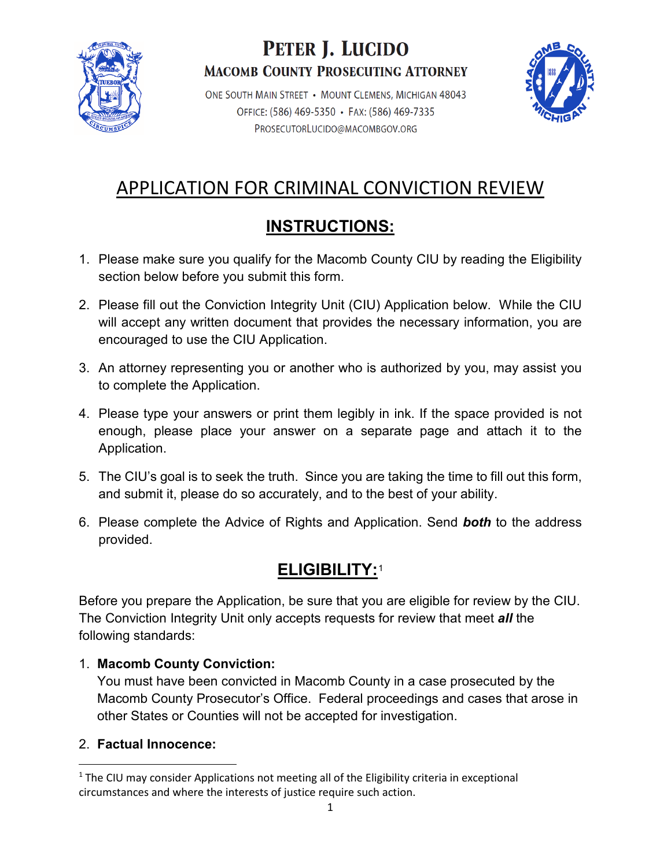

# PETER J. LUCIDO **MACOMB COUNTY PROSECUTING ATTORNEY**

ONE SOUTH MAIN STREET • MOUNT CLEMENS, MICHIGAN 48043 OFFICE: (586) 469-5350 • FAX: (586) 469-7335 PROSECUTORLUCIDO@MACOMBGOV.ORG



# APPLICATION FOR CRIMINAL CONVICTION REVIEW

# **INSTRUCTIONS:**

- 1. Please make sure you qualify for the Macomb County CIU by reading the Eligibility section below before you submit this form.
- 2. Please fill out the Conviction Integrity Unit (CIU) Application below. While the CIU will accept any written document that provides the necessary information, you are encouraged to use the CIU Application.
- 3. An attorney representing you or another who is authorized by you, may assist you to complete the Application.
- 4. Please type your answers or print them legibly in ink. If the space provided is not enough, please place your answer on a separate page and attach it to the Application.
- 5. The CIU's goal is to seek the truth. Since you are taking the time to fill out this form, and submit it, please do so accurately, and to the best of your ability.
- 6. Please complete the Advice of Rights and Application. Send *both* to the address provided.

## **ELIGIBILITY:**[1](#page-0-0)

Before you prepare the Application, be sure that you are eligible for review by the CIU. The Conviction Integrity Unit only accepts requests for review that meet *all* the following standards:

### 1. **Macomb County Conviction:**

 You must have been convicted in Macomb County in a case prosecuted by the Macomb County Prosecutor's Office. Federal proceedings and cases that arose in other States or Counties will not be accepted for investigation.

### 2. **Factual Innocence:**

<span id="page-0-0"></span>l  $1$  The CIU may consider Applications not meeting all of the Eligibility criteria in exceptional circumstances and where the interests of justice require such action.